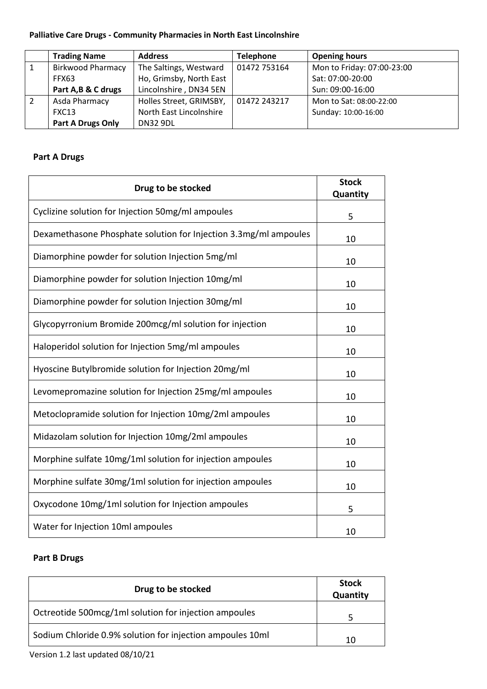## **Palliative Care Drugs - Community Pharmacies in North East Lincolnshire**

|   | <b>Trading Name</b>      | <b>Address</b>          | <b>Telephone</b> | <b>Opening hours</b>       |
|---|--------------------------|-------------------------|------------------|----------------------------|
| 1 | <b>Birkwood Pharmacy</b> | The Saltings, Westward  | 01472 753164     | Mon to Friday: 07:00-23:00 |
|   | FFX63                    | Ho, Grimsby, North East |                  | Sat: 07:00-20:00           |
|   | Part A, B & C drugs      | Lincolnshire, DN34 5EN  |                  | Sun: 09:00-16:00           |
| 2 | Asda Pharmacy            | Holles Street, GRIMSBY, | 01472 243217     | Mon to Sat: 08:00-22:00    |
|   | FXC13                    | North East Lincolnshire |                  | Sunday: 10:00-16:00        |
|   | <b>Part A Drugs Only</b> | <b>DN32 9DL</b>         |                  |                            |

## **Part A Drugs**

| Drug to be stocked                                               | <b>Stock</b><br>Quantity |
|------------------------------------------------------------------|--------------------------|
| Cyclizine solution for Injection 50mg/ml ampoules                | 5                        |
| Dexamethasone Phosphate solution for Injection 3.3mg/ml ampoules | 10                       |
| Diamorphine powder for solution Injection 5mg/ml                 | 10                       |
| Diamorphine powder for solution Injection 10mg/ml                | 10                       |
| Diamorphine powder for solution Injection 30mg/ml                | 10                       |
| Glycopyrronium Bromide 200mcg/ml solution for injection          | 10                       |
| Haloperidol solution for Injection 5mg/ml ampoules               | 10                       |
| Hyoscine Butylbromide solution for Injection 20mg/ml             | 10                       |
| Levomepromazine solution for Injection 25mg/ml ampoules          | 10                       |
| Metoclopramide solution for Injection 10mg/2ml ampoules          | 10                       |
| Midazolam solution for Injection 10mg/2ml ampoules               | 10                       |
| Morphine sulfate 10mg/1ml solution for injection ampoules        | 10                       |
| Morphine sulfate 30mg/1ml solution for injection ampoules        | 10                       |
| Oxycodone 10mg/1ml solution for Injection ampoules               | 5                        |
| Water for Injection 10ml ampoules                                | 10                       |

## **Part B Drugs**

| Drug to be stocked                                        | <b>Stock</b><br>Quantity |
|-----------------------------------------------------------|--------------------------|
| Octreotide 500mcg/1ml solution for injection ampoules     |                          |
| Sodium Chloride 0.9% solution for injection ampoules 10ml | 10                       |

Version 1.2 last updated 08/10/21